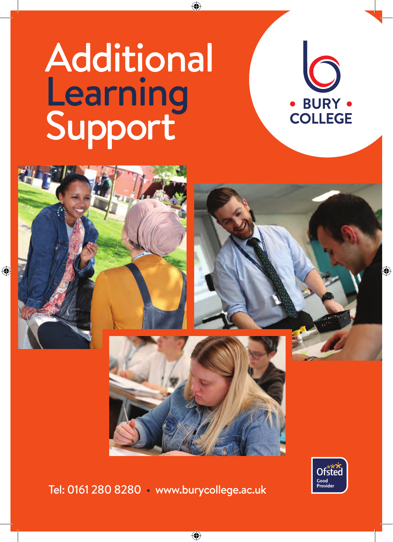# **Additional Learning** Support







Tel: 0161 280 8280 • www.burycollege.ac.uk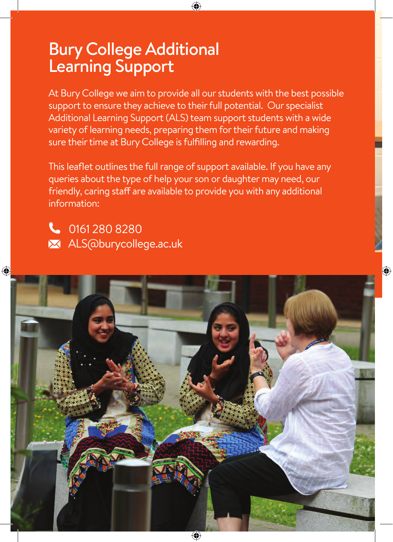#### Bury College Additional Learning Support

At Bury College we aim to provide all our students with the best possible support to ensure they achieve to their full potential. Our specialist Additional Learning Support (ALS) team support students with a wide variety of learning needs, preparing them for their future and making sure their time at Bury College is fulfilling and rewarding.

This leaflet outlines the full range of support available. If you have any queries about the type of help your son or daughter may need, our friendly, caring staff are available to provide you with any additional information:

 0161 280 8280 **X** ALS@burycollege.ac.uk

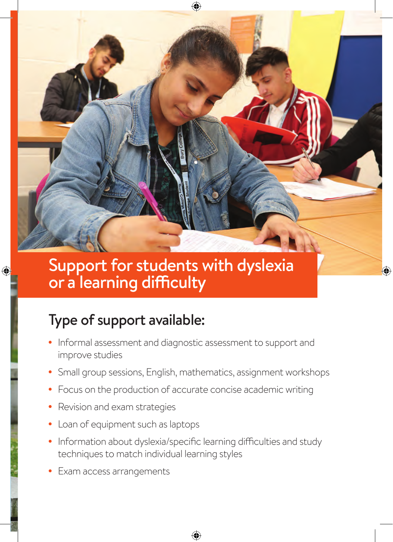

#### Support for students with dyslexia or a learning difficulty

#### Type of support available:

- Informal assessment and diagnostic assessment to support and improve studies
- Small group sessions, English, mathematics, assignment workshops
- Focus on the production of accurate concise academic writing
- Revision and exam strategies
- Loan of equipment such as laptops
- Information about dyslexia/specific learning difficulties and study techniques to match individual learning styles
- Exam access arrangements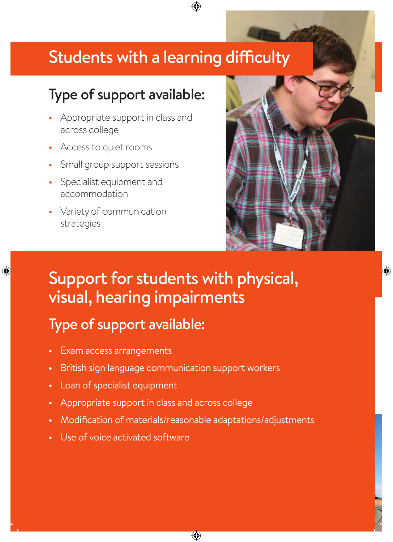#### Students with a learning difficulty

#### Type of support available:

- Appropriate support in class and across college
- Access to quiet rooms
- Small group support sessions
- Specialist equipment and accommodation
- Variety of communication strategies



#### Support for students with physical, visual, hearing impairments

#### Type of support available:

- Exam access arrangements
- British sign language communication support workers
- Loan of specialist equipment
- Appropriate support in class and across college
- Modification of materials/reasonable adaptations/adjustments
- Use of voice activated software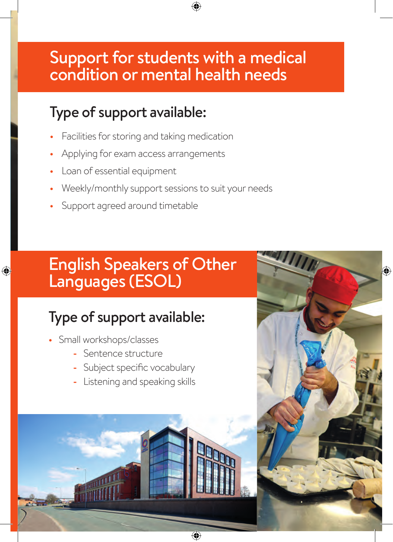#### Support for students with a medical condition or mental health needs

#### Type of support available:

- Facilities for storing and taking medication
- Applying for exam access arrangements
- Loan of essential equipment
- Weekly/monthly support sessions to suit your needs
- Support agreed around timetable

#### English Speakers of Other Languages (ESOL)

#### Type of support available:

- Small workshops/classes
	- **-** Sentence structure
	- **-** Subject specific vocabulary
	- **-** Listening and speaking skills

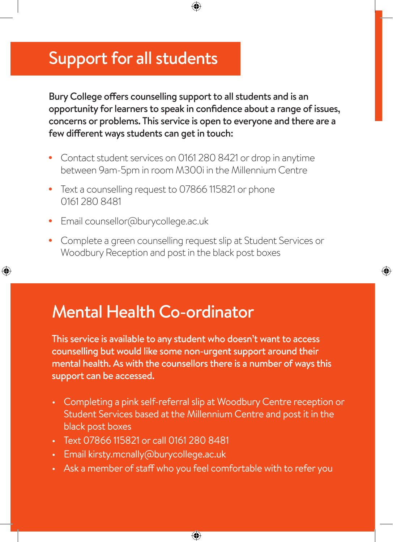#### Support for all students

Bury College offers counselling support to all students and is an opportunity for learners to speak in confidence about a range of issues, concerns or problems. This service is open to everyone and there are a few different ways students can get in touch:

- Contact student services on 0161 280 8421 or drop in anytime between 9am-5pm in room M300i in the Millennium Centre
- Text a counselling request to 07866 115821 or phone 0161 280 8481
- Email counsellor@burycollege.ac.uk
- Complete a green counselling request slip at Student Services or Woodbury Reception and post in the black post boxes

### Mental Health Co-ordinator

This service is available to any student who doesn't want to access counselling but would like some non-urgent support around their mental health. As with the counsellors there is a number of ways this support can be accessed.

- Completing a pink self-referral slip at Woodbury Centre reception or Student Services based at the Millennium Centre and post it in the black post boxes
- Text 07866 115821 or call 0161 280 8481
- Email kirsty.mcnally@burycollege.ac.uk
- Ask a member of staff who you feel comfortable with to refer you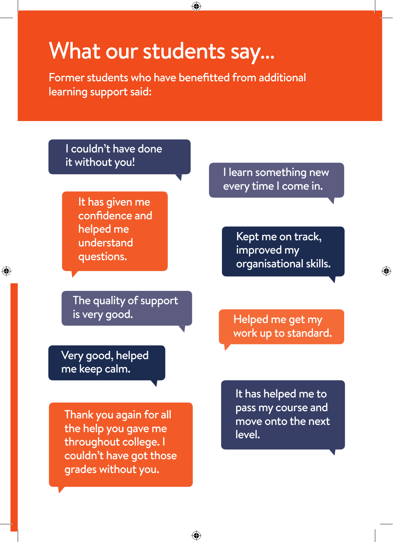## What our students say…

Former students who have benefitted from additional learning support said:

I couldn't have done it without you!

> It has given me confidence and helped me understand questions.

The quality of support is very good.

Very good, helped me keep calm.

Thank you again for all the help you gave me throughout college. I couldn't have got those grades without you.

I learn something new every time I come in.

> Kept me on track, improved my organisational skills.

Helped me get my work up to standard.

It has helped me to pass my course and move onto the next level.